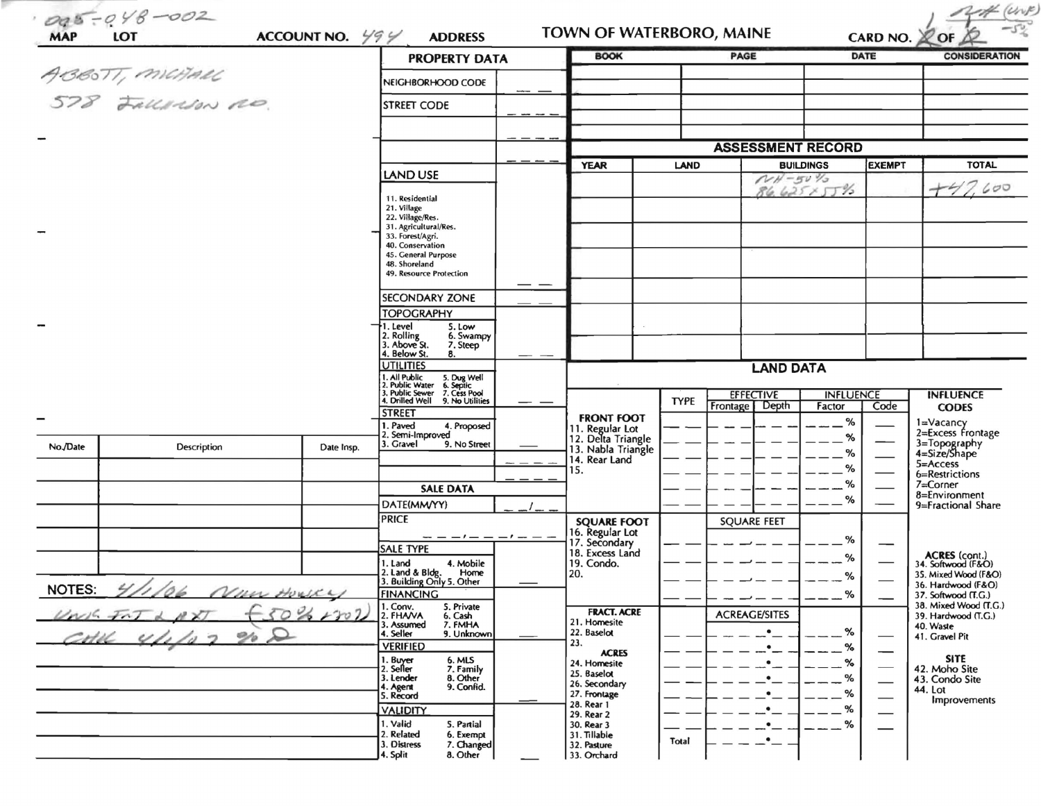| <b>MAP</b> | 005-048-002<br>LOT                   | ACCOUNT NO. $\frac{1}{2}$ | <b>ADDRESS</b>                                                                                                               | TOWN OF WATERBORO, MAINE                                    |              |                                 |                  | CARD NO. 20F  | <i>(Urv)</i>                                 |
|------------|--------------------------------------|---------------------------|------------------------------------------------------------------------------------------------------------------------------|-------------------------------------------------------------|--------------|---------------------------------|------------------|---------------|----------------------------------------------|
|            |                                      |                           | <b>PROPERTY DATA</b>                                                                                                         | <b>BOOK</b>                                                 |              | PAGE                            |                  | DATE          | <b>CONSIDERATION</b>                         |
|            | ABBOTT, MICHAEL<br>578 FALLASON A.O. |                           | NEIGHBORHOOD CODE                                                                                                            |                                                             |              |                                 |                  |               |                                              |
|            |                                      |                           | <b>STREET CODE</b>                                                                                                           |                                                             |              |                                 |                  |               |                                              |
|            |                                      |                           |                                                                                                                              |                                                             |              |                                 |                  |               |                                              |
|            |                                      |                           |                                                                                                                              |                                                             |              |                                 |                  |               |                                              |
|            |                                      |                           |                                                                                                                              |                                                             |              | <b>ASSESSMENT RECORD</b>        |                  |               |                                              |
|            |                                      |                           | LAND USE                                                                                                                     | <b>YEAR</b>                                                 | LAND         | <b>BUILDINGS</b><br>$NH - 50\%$ |                  | <b>EXEMPT</b> | <b>TOTAL</b>                                 |
|            |                                      |                           | 11. Residential                                                                                                              |                                                             |              |                                 | 86.6257576       |               | 7.600<br>$+4$                                |
|            |                                      |                           | 21. Village<br>22. Village/Res.                                                                                              |                                                             |              |                                 |                  |               |                                              |
|            |                                      |                           | 31. Agricultural/Res.<br>33. Forest/Agri.                                                                                    |                                                             |              |                                 |                  |               |                                              |
|            |                                      |                           | 40. Conservation<br>45. General Purpose                                                                                      |                                                             |              |                                 |                  |               |                                              |
|            |                                      |                           | 48. Shoreland                                                                                                                |                                                             |              |                                 |                  |               |                                              |
|            |                                      |                           | 49. Resource Protection                                                                                                      |                                                             |              |                                 |                  |               |                                              |
|            |                                      |                           | <b>SECONDARY ZONE</b>                                                                                                        |                                                             |              |                                 |                  |               |                                              |
|            |                                      |                           | <b>TOPOGRAPHY</b><br>†1. Level<br>5. Low                                                                                     |                                                             |              |                                 |                  |               |                                              |
|            |                                      |                           | 2. Rolling<br>3. Above St.<br>6. Swampy<br>7. Steep                                                                          |                                                             |              |                                 |                  |               |                                              |
|            |                                      |                           | 4. Below St.<br>8.                                                                                                           |                                                             |              |                                 |                  |               |                                              |
|            |                                      |                           | <b>UTILITIES</b>                                                                                                             |                                                             |              | <b>LAND DATA</b>                |                  |               |                                              |
|            |                                      |                           | 1. All Public 5. Dug Well<br>2. Public Water 6. Septic<br>3. Public Sewer 7. Cess Pool<br>4. Drilled Well<br>9. No Utilities |                                                             | <b>TYPE</b>  | <b>EFFECTIVE</b>                | <b>INFLUENCE</b> |               | <b>INFLUENCE</b>                             |
|            |                                      |                           | <b>STREET</b>                                                                                                                | <b>FRONT FOOT</b>                                           |              | Frontage Depth                  | Factor           | Code          | <b>CODES</b>                                 |
|            |                                      |                           | 1. Paved<br>4. Proposed<br>2. Semi-Improved                                                                                  |                                                             |              |                                 | $\%$<br>%        |               | 1=Vacancy<br>2=Excess Frontage               |
| No./Date   | Description                          | Date Insp.                | 3. Gravel<br>9. No Street                                                                                                    | 11. Regular Lot<br>12. Delta Triangle<br>13. Nabla Triangle |              |                                 | %                |               | 3=Topography<br>4=Size/Shape                 |
|            |                                      |                           |                                                                                                                              | 14. Rear Land<br>15.                                        |              |                                 | %                |               | 5=Access<br>6=Restrictions                   |
|            |                                      |                           | <b>SALE DATA</b>                                                                                                             |                                                             |              |                                 | %                |               | 7=Corner                                     |
|            |                                      |                           | DATE(MM/YY)                                                                                                                  |                                                             |              |                                 | %                |               | 8=Environment<br>9=Fractional Share          |
|            |                                      |                           | PRICE                                                                                                                        | <b>SQUARE FOOT</b>                                          |              | <b>SQUARE FEET</b>              |                  |               |                                              |
|            |                                      |                           | - - - - - - - - -                                                                                                            | 16. Regular Lot<br>17. Secondary                            |              |                                 | %                |               |                                              |
|            |                                      |                           | <b>SALE TYPE</b><br>4. Mobile<br>1. Land                                                                                     | 18. Excess Land<br>19. Condo.                               |              |                                 | %                |               | ACRES (cont.)<br>34. Softwood (F&O)          |
|            |                                      |                           | 2. Land & Bldg.<br>Home<br>3. Building Only 5. Other                                                                         | 20.                                                         |              |                                 | ℅                |               | 35. Mixed Wood (F&O)                         |
|            | NOTES: $4/1/04$                      |                           | <b>FINANCING</b>                                                                                                             |                                                             |              |                                 | %                |               | 36. Hardwood (F&O)<br>37. Softwood (T.G.)    |
|            | 50%<br>$\rightarrow$                 | 107                       | 1. Conv.<br>5. Private<br>2. FHAVA<br>6. Cash                                                                                | <b>FRACT. ACRE</b>                                          |              | <b>ACREAGE/SITES</b>            |                  |               | 38. Mixed Wood (T.G.)<br>39. Hardwood (T.G.) |
|            | $\mathbf \Omega$<br>$\mathscr{D}$    |                           | 7. FMHA<br>3. Assumed<br>4. Seller<br>9. Unknown                                                                             | 21. Homesite<br>22. Baselot                                 |              |                                 | %                |               | 40. Waste<br>41. Gravel Pit                  |
|            |                                      |                           | <b>VERIFIED</b>                                                                                                              | 23.<br><b>ACRES</b>                                         |              |                                 | %                |               |                                              |
|            |                                      |                           | 1. Buyer<br>2. Seller<br>6. MLS<br>7. Family                                                                                 | 24. Homesite<br>25. Baselot                                 |              |                                 | ℅                |               | <b>SITE</b><br>42. Moho Site                 |
|            |                                      |                           | 3. Lender<br>8. Other<br>9. Confid.<br>4. Agent<br>5. Record                                                                 | 26. Secondary                                               |              |                                 | %                |               | 43. Condo Site<br>44. Lot                    |
|            |                                      |                           |                                                                                                                              | 27. Frontage<br>28. Rear 1                                  |              |                                 | %<br>%           |               | Improvements                                 |
|            |                                      |                           | <b>VALIDITY</b><br>1. Valid<br>5. Partial                                                                                    | 29. Rear 2<br>30. Rear 3                                    |              |                                 | %                |               |                                              |
|            |                                      |                           | 2. Related<br>6. Exempt<br>3. Distress<br>7. Changed                                                                         | 31. Tillable<br>32. Pasture                                 | <b>Total</b> |                                 |                  |               |                                              |
|            |                                      |                           | 4. Split<br>8. Other                                                                                                         | 33. Orchard                                                 |              |                                 |                  |               |                                              |